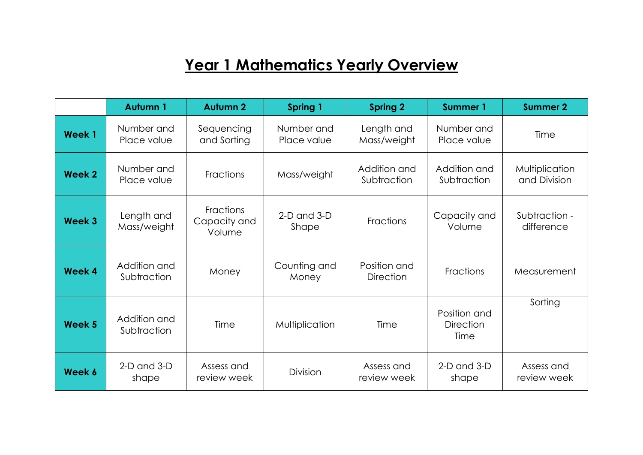# **Year 1 Mathematics Yearly Overview**

|                   | Autumn 1                    | <b>Autumn 2</b>                     | Spring 1                  | <b>Spring 2</b>                  | <b>Summer 1</b>                          | <b>Summer 2</b>                |
|-------------------|-----------------------------|-------------------------------------|---------------------------|----------------------------------|------------------------------------------|--------------------------------|
| <b>Week1</b>      | Number and<br>Place value   | Sequencing<br>and Sorting           | Number and<br>Place value | Length and<br>Mass/weight        | Number and<br>Place value                | Time                           |
| <b>Week 2</b>     | Number and<br>Place value   | Fractions                           | Mass/weight               | Addition and<br>Subtraction      | Addition and<br>Subtraction              | Multiplication<br>and Division |
| Week 3            | Length and<br>Mass/weight   | Fractions<br>Capacity and<br>Volume | $2-D$ and $3-D$<br>Shape  | <b>Fractions</b>                 | Capacity and<br>Volume                   | Subtraction -<br>difference    |
| Week 4            | Addition and<br>Subtraction | Money                               | Counting and<br>Money     | Position and<br><b>Direction</b> | Fractions                                | Measurement                    |
| Week <sub>5</sub> | Addition and<br>Subtraction | Time                                | Multiplication            | Time                             | Position and<br><b>Direction</b><br>Time | Sorting                        |
| Week 6            | $2-D$ and $3-D$<br>shape    | Assess and<br>review week           | Division                  | Assess and<br>review week        | $2-D$ and $3-D$<br>shape                 | Assess and<br>review week      |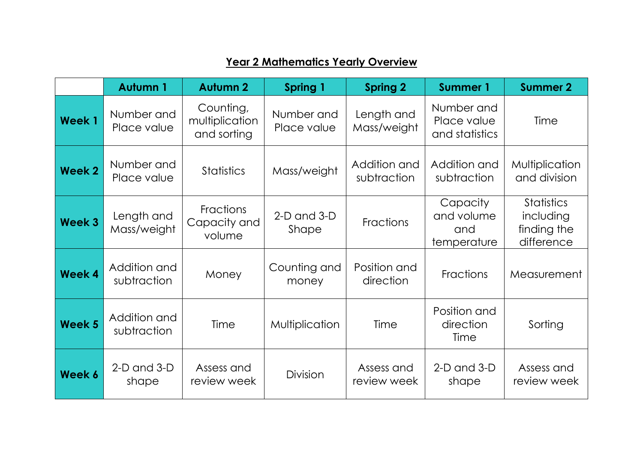|               | <b>Autumn 1</b>             | <b>Autumn 2</b>                            | Spring 1                  | <b>Spring 2</b>             | <b>Summer 1</b>                              | <b>Summer 2</b>                                             |
|---------------|-----------------------------|--------------------------------------------|---------------------------|-----------------------------|----------------------------------------------|-------------------------------------------------------------|
| <b>Week1</b>  | Number and<br>Place value   | Counting,<br>multiplication<br>and sorting | Number and<br>Place value | Length and<br>Mass/weight   | Number and<br>Place value<br>and statistics  | Time                                                        |
| <b>Week 2</b> | Number and<br>Place value   | <b>Statistics</b>                          | Mass/weight               | Addition and<br>subtraction | Addition and<br>subtraction                  | Multiplication<br>and division                              |
| <b>Week 3</b> | Length and<br>Mass/weight   | <b>Fractions</b><br>Capacity and<br>volume | $2-D$ and $3-D$<br>Shape  | <b>Fractions</b>            | Capacity<br>and volume<br>and<br>temperature | <b>Statistics</b><br>including<br>finding the<br>difference |
| <b>Week 4</b> | Addition and<br>subtraction | Money                                      | Counting and<br>money     | Position and<br>direction   | Fractions                                    | Measurement                                                 |
| <b>Week 5</b> | Addition and<br>subtraction | Time                                       | Multiplication            | Time                        | Position and<br>direction<br>Time            | Sorting                                                     |
| Week 6        | $2-D$ and $3-D$<br>shape    | Assess and<br>review week                  | <b>Division</b>           | Assess and<br>review week   | $2-D$ and $3-D$<br>shape                     | Assess and<br>review week                                   |

#### **Year 2 Mathematics Yearly Overview**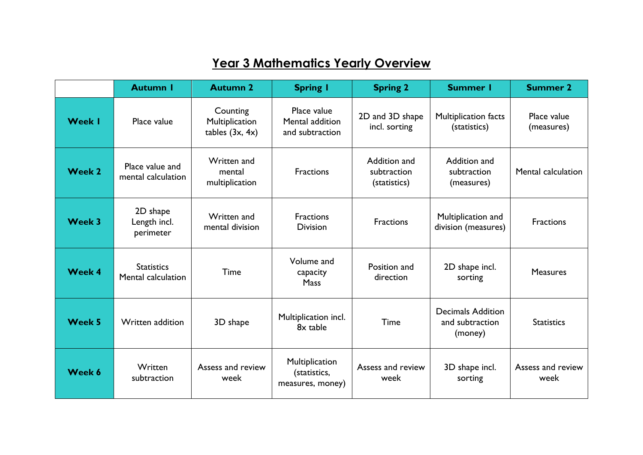## **Year 3 Mathematics Yearly Overview**

|               | <b>Autumn I</b>                         | <b>Autumn 2</b>                                 | <b>Spring I</b>                                    | <b>Spring 2</b>                             | <b>Summer I</b>                                        | <b>Summer 2</b>           |
|---------------|-----------------------------------------|-------------------------------------------------|----------------------------------------------------|---------------------------------------------|--------------------------------------------------------|---------------------------|
| <b>Week I</b> | Place value                             | Counting<br>Multiplication<br>tables $(3x, 4x)$ | Place value<br>Mental addition<br>and subtraction  | 2D and 3D shape<br>incl. sorting            | Multiplication facts<br>(statistics)                   | Place value<br>(measures) |
| Week 2        | Place value and<br>mental calculation   | Written and<br>mental<br>multiplication         | <b>Fractions</b>                                   | Addition and<br>subtraction<br>(statistics) | Addition and<br>subtraction<br>(measures)              | Mental calculation        |
| Week 3        | 2D shape<br>Length incl.<br>perimeter   | Written and<br>mental division                  | <b>Fractions</b><br><b>Division</b>                | <b>Fractions</b>                            | Multiplication and<br>division (measures)              | <b>Fractions</b>          |
| Week 4        | <b>Statistics</b><br>Mental calculation | Time                                            | Volume and<br>capacity<br>Mass                     | Position and<br>direction                   | 2D shape incl.<br>sorting                              | <b>Measures</b>           |
| Week 5        | Written addition                        | 3D shape                                        | Multiplication incl.<br>8x table                   | Time                                        | <b>Decimals Addition</b><br>and subtraction<br>(money) | <b>Statistics</b>         |
| Week 6        | Written<br>subtraction                  | Assess and review<br>week                       | Multiplication<br>(statistics,<br>measures, money) | Assess and review<br>week                   | 3D shape incl.<br>sorting                              | Assess and review<br>week |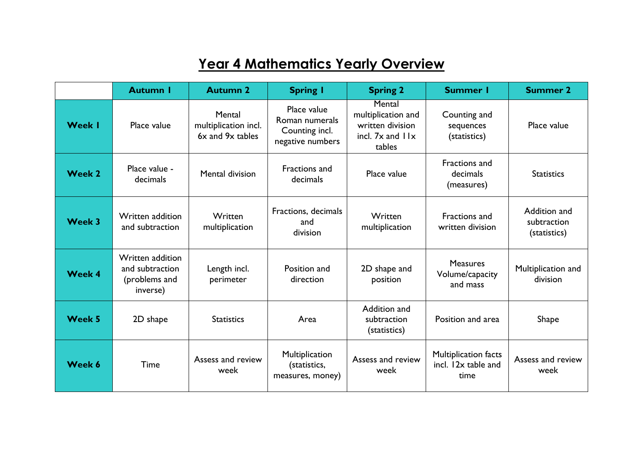## **Year 4 Mathematics Yearly Overview**

|               | <b>Autumn I</b>                                                  | <b>Autumn 2</b>                                    | <b>Spring I</b>                                                     | <b>Spring 2</b>                                                                    | <b>Summer I</b>                                     | <b>Summer 2</b>                             |
|---------------|------------------------------------------------------------------|----------------------------------------------------|---------------------------------------------------------------------|------------------------------------------------------------------------------------|-----------------------------------------------------|---------------------------------------------|
| <b>Week I</b> | Place value                                                      | Mental<br>multiplication incl.<br>6x and 9x tables | Place value<br>Roman numerals<br>Counting incl.<br>negative numbers | Mental<br>multiplication and<br>written division<br>incl. $7x$ and $11x$<br>tables | Counting and<br>sequences<br>(statistics)           | Place value                                 |
| Week 2        | Place value -<br>decimals                                        | Mental division                                    | <b>Fractions and</b><br>decimals                                    | Place value                                                                        | Fractions and<br>decimals<br>(measures)             | <b>Statistics</b>                           |
| Week 3        | Written addition<br>and subtraction                              | Written<br>multiplication                          | Fractions, decimals<br>and<br>division                              | Written<br>multiplication                                                          | Fractions and<br>written division                   | Addition and<br>subtraction<br>(statistics) |
| <b>Week 4</b> | Written addition<br>and subtraction<br>(problems and<br>inverse) | Length incl.<br>perimeter                          | Position and<br>direction                                           | 2D shape and<br>position                                                           | <b>Measures</b><br>Volume/capacity<br>and mass      | Multiplication and<br>division              |
| <b>Week 5</b> | 2D shape                                                         | <b>Statistics</b>                                  | Area                                                                | Addition and<br>subtraction<br>(statistics)                                        | Position and area                                   | <b>Shape</b>                                |
| Week 6        | Time                                                             | Assess and review<br>week                          | Multiplication<br>(statistics,<br>measures, money)                  | Assess and review<br>week                                                          | Multiplication facts<br>incl. 12x table and<br>time | Assess and review<br>week                   |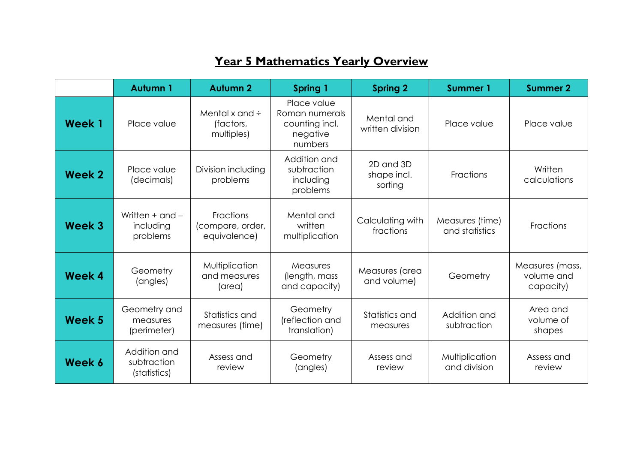### **Year 5 Mathematics Yearly Overview**

|        | <b>Autumn 1</b>                              | <b>Autumn 2</b>                                | Spring 1                                                               | <b>Spring 2</b>                     | Summer 1                          | <b>Summer 2</b>                            |
|--------|----------------------------------------------|------------------------------------------------|------------------------------------------------------------------------|-------------------------------------|-----------------------------------|--------------------------------------------|
| Week 1 | Place value                                  | Mental x and $\div$<br>(factors,<br>multiples) | Place value<br>Roman numerals<br>counting incl.<br>negative<br>numbers | Mental and<br>written division      | Place value                       | Place value                                |
| Week 2 | Place value<br>(decimals)                    | Division including<br>problems                 | Addition and<br>subtraction<br>including<br>problems                   | 2D and 3D<br>shape incl.<br>sorting | <b>Fractions</b>                  | Written<br>calculations                    |
| Week 3 | Written $+$ and $-$<br>including<br>problems | Fractions<br>(compare, order,<br>equivalence)  | Mental and<br>written<br>multiplication                                | Calculating with<br>fractions       | Measures (time)<br>and statistics | Fractions                                  |
| Week 4 | Geometry<br>(angles)                         | Multiplication<br>and measures<br>(area)       | Measures<br>(length, mass<br>and capacity)                             | Measures (area<br>and volume)       | Geometry                          | Measures (mass,<br>volume and<br>capacity) |
| Week 5 | Geometry and<br>measures<br>(perimeter)      | Statistics and<br>measures (time)              | Geometry<br>(reflection and<br>translation)                            | Statistics and<br>measures          | Addition and<br>subtraction       | Area and<br>volume of<br>shapes            |
| Week 6 | Addition and<br>subtraction<br>(statistics)  | Assess and<br>review                           | Geometry<br>(angles)                                                   | Assess and<br>review                | Multiplication<br>and division    | Assess and<br>review                       |